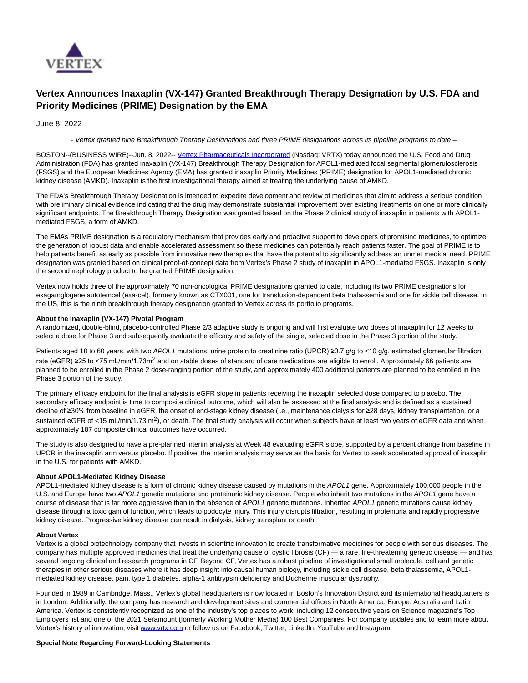

# **Vertex Announces Inaxaplin (VX-147) Granted Breakthrough Therapy Designation by U.S. FDA and Priority Medicines (PRIME) Designation by the EMA**

June 8, 2022

- Vertex granted nine Breakthrough Therapy Designations and three PRIME designations across its pipeline programs to date –

BOSTON--(BUSINESS WIRE)--Jun. 8, 2022-- [Vertex Pharmaceuticals Incorporated \(](https://cts.businesswire.com/ct/CT?id=smartlink&url=http%3A%2F%2Fwww.vrtx.com%2F&esheet=52742638&newsitemid=20220608005181&lan=en-US&anchor=Vertex+Pharmaceuticals+Incorporated&index=1&md5=eaea0388781cad39eab51c186960c2a2)Nasdaq: VRTX) today announced the U.S. Food and Drug Administration (FDA) has granted inaxaplin (VX-147) Breakthrough Therapy Designation for APOL1-mediated focal segmental glomerulosclerosis (FSGS) and the European Medicines Agency (EMA) has granted inaxaplin Priority Medicines (PRIME) designation for APOL1-mediated chronic kidney disease (AMKD). Inaxaplin is the first investigational therapy aimed at treating the underlying cause of AMKD.

The FDA's Breakthrough Therapy Designation is intended to expedite development and review of medicines that aim to address a serious condition with preliminary clinical evidence indicating that the drug may demonstrate substantial improvement over existing treatments on one or more clinically significant endpoints. The Breakthrough Therapy Designation was granted based on the Phase 2 clinical study of inaxaplin in patients with APOL1 mediated FSGS, a form of AMKD.

The EMA's PRIME designation is a regulatory mechanism that provides early and proactive support to developers of promising medicines, to optimize the generation of robust data and enable accelerated assessment so these medicines can potentially reach patients faster. The goal of PRIME is to help patients benefit as early as possible from innovative new therapies that have the potential to significantly address an unmet medical need. PRIME designation was granted based on clinical proof-of-concept data from Vertex's Phase 2 study of inaxaplin in APOL1-mediated FSGS. Inaxaplin is only the second nephrology product to be granted PRIME designation.

Vertex now holds three of the approximately 70 non-oncological PRIME designations granted to date, including its two PRIME designations for exagamglogene autotemcel (exa-cel), formerly known as CTX001, one for transfusion-dependent beta thalassemia and one for sickle cell disease. In the US, this is the ninth breakthrough therapy designation granted to Vertex across its portfolio programs.

## **About the Inaxaplin (VX-147) Pivotal Program**

A randomized, double-blind, placebo-controlled Phase 2/3 adaptive study is ongoing and will first evaluate two doses of inaxaplin for 12 weeks to select a dose for Phase 3 and subsequently evaluate the efficacy and safety of the single, selected dose in the Phase 3 portion of the study.

Patients aged 18 to 60 years, with two APOL1 mutations, urine protein to creatinine ratio (UPCR) ≥0.7 g/g to <10 g/g, estimated glomerular filtration rate (eGFR) ≥25 to <75 mL/min/1.73m<sup>2</sup> and on stable doses of standard of care medications are eligible to enroll. Approximately 66 patients are planned to be enrolled in the Phase 2 dose-ranging portion of the study, and approximately 400 additional patients are planned to be enrolled in the Phase 3 portion of the study.

The primary efficacy endpoint for the final analysis is eGFR slope in patients receiving the inaxaplin selected dose compared to placebo. The secondary efficacy endpoint is time to composite clinical outcome, which will also be assessed at the final analysis and is defined as a sustained decline of ≥30% from baseline in eGFR, the onset of end-stage kidney disease (i.e., maintenance dialysis for ≥28 days, kidney transplantation, or a sustained eGFR of <15 mL/min/1.73 m<sup>2</sup>), or death. The final study analysis will occur when subjects have at least two years of eGFR data and when approximately 187 composite clinical outcomes have occurred.

The study is also designed to have a pre-planned interim analysis at Week 48 evaluating eGFR slope, supported by a percent change from baseline in UPCR in the inaxaplin arm versus placebo. If positive, the interim analysis may serve as the basis for Vertex to seek accelerated approval of inaxaplin in the U.S. for patients with AMKD.

## **About APOL1-Mediated Kidney Disease**

APOL1-mediated kidney disease is a form of chronic kidney disease caused by mutations in the APOL1 gene. Approximately 100,000 people in the U.S. and Europe have two APOL1 genetic mutations and proteinuric kidney disease. People who inherit two mutations in the APOL1 gene have a course of disease that is far more aggressive than in the absence of APOL1 genetic mutations. Inherited APOL1 genetic mutations cause kidney disease through a toxic gain of function, which leads to podocyte injury. This injury disrupts filtration, resulting in proteinuria and rapidly progressive kidney disease. Progressive kidney disease can result in dialysis, kidney transplant or death.

### **About Vertex**

Vertex is a global biotechnology company that invests in scientific innovation to create transformative medicines for people with serious diseases. The company has multiple approved medicines that treat the underlying cause of cystic fibrosis (CF) — a rare, life-threatening genetic disease — and has several ongoing clinical and research programs in CF. Beyond CF, Vertex has a robust pipeline of investigational small molecule, cell and genetic therapies in other serious diseases where it has deep insight into causal human biology, including sickle cell disease, beta thalassemia, APOL1 mediated kidney disease, pain, type 1 diabetes, alpha-1 antitrypsin deficiency and Duchenne muscular dystrophy.

Founded in 1989 in Cambridge, Mass., Vertex's global headquarters is now located in Boston's Innovation District and its international headquarters is in London. Additionally, the company has research and development sites and commercial offices in North America, Europe, Australia and Latin America. Vertex is consistently recognized as one of the industry's top places to work, including 12 consecutive years on Science magazine's Top Employers list and one of the 2021 Seramount (formerly Working Mother Media) 100 Best Companies. For company updates and to learn more about Vertex's history of innovation, visit [www.vrtx.com o](https://cts.businesswire.com/ct/CT?id=smartlink&url=http%3A%2F%2Fwww.vrtx.com&esheet=52742638&newsitemid=20220608005181&lan=en-US&anchor=www.vrtx.com&index=2&md5=49298f95d4360f27dfd053e64b888e05)r follow us on Facebook, Twitter, LinkedIn, YouTube and Instagram.

### **Special Note Regarding Forward-Looking Statements**